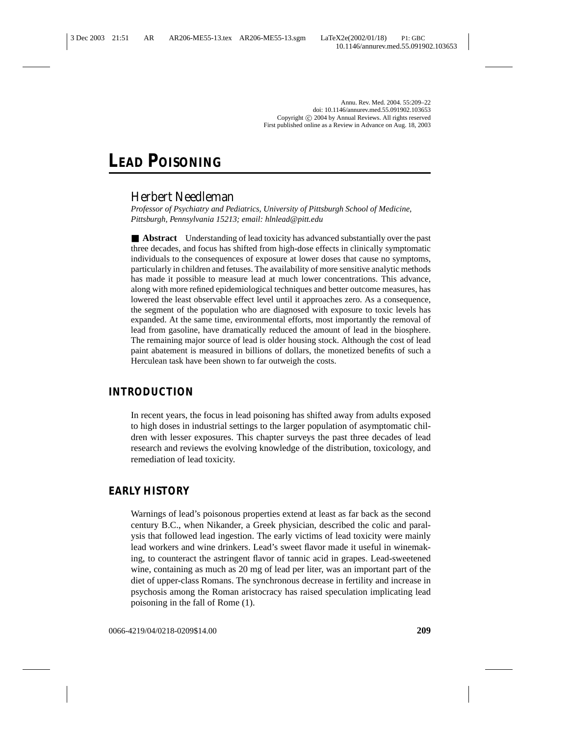# **LEAD POISONING**

# Herbert Needleman

*Professor of Psychiatry and Pediatrics, University of Pittsburgh School of Medicine, Pittsburgh, Pennsylvania 15213; email: hlnlead@pitt.edu*

■ **Abstract** Understanding of lead toxicity has advanced substantially over the past three decades, and focus has shifted from high-dose effects in clinically symptomatic individuals to the consequences of exposure at lower doses that cause no symptoms, particularly in children and fetuses. The availability of more sensitive analytic methods has made it possible to measure lead at much lower concentrations. This advance, along with more refined epidemiological techniques and better outcome measures, has lowered the least observable effect level until it approaches zero. As a consequence, the segment of the population who are diagnosed with exposure to toxic levels has expanded. At the same time, environmental efforts, most importantly the removal of lead from gasoline, have dramatically reduced the amount of lead in the biosphere. The remaining major source of lead is older housing stock. Although the cost of lead paint abatement is measured in billions of dollars, the monetized benefits of such a Herculean task have been shown to far outweigh the costs.

## **INTRODUCTION**

In recent years, the focus in lead poisoning has shifted away from adults exposed to high doses in industrial settings to the larger population of asymptomatic children with lesser exposures. This chapter surveys the past three decades of lead research and reviews the evolving knowledge of the distribution, toxicology, and remediation of lead toxicity.

## **EARLY HISTORY**

Warnings of lead's poisonous properties extend at least as far back as the second century B.C., when Nikander, a Greek physician, described the colic and paralysis that followed lead ingestion. The early victims of lead toxicity were mainly lead workers and wine drinkers. Lead's sweet flavor made it useful in winemaking, to counteract the astringent flavor of tannic acid in grapes. Lead-sweetened wine, containing as much as 20 mg of lead per liter, was an important part of the diet of upper-class Romans. The synchronous decrease in fertility and increase in psychosis among the Roman aristocracy has raised speculation implicating lead poisoning in the fall of Rome (1).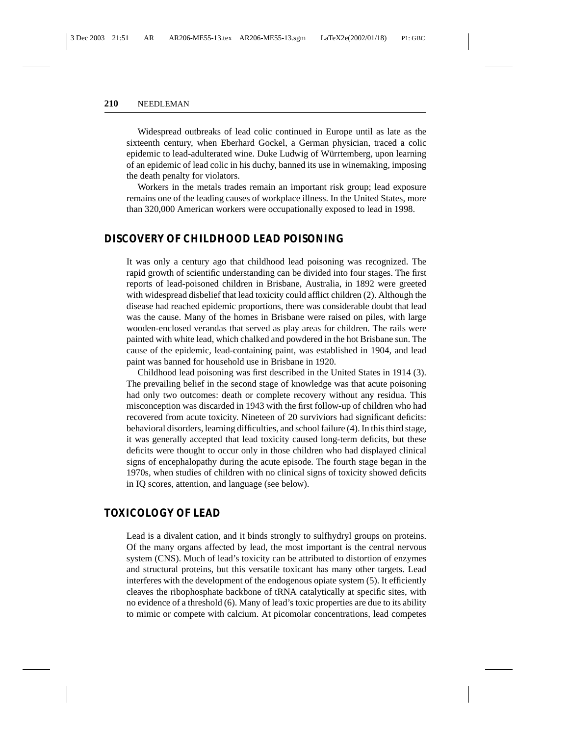Widespread outbreaks of lead colic continued in Europe until as late as the sixteenth century, when Eberhard Gockel, a German physician, traced a colic epidemic to lead-adulterated wine. Duke Ludwig of Würrtemberg, upon learning of an epidemic of lead colic in his duchy, banned its use in winemaking, imposing the death penalty for violators.

Workers in the metals trades remain an important risk group; lead exposure remains one of the leading causes of workplace illness. In the United States, more than 320,000 American workers were occupationally exposed to lead in 1998.

### **DISCOVERY OF CHILDHOOD LEAD POISONING**

It was only a century ago that childhood lead poisoning was recognized. The rapid growth of scientific understanding can be divided into four stages. The first reports of lead-poisoned children in Brisbane, Australia, in 1892 were greeted with widespread disbelief that lead toxicity could afflict children (2). Although the disease had reached epidemic proportions, there was considerable doubt that lead was the cause. Many of the homes in Brisbane were raised on piles, with large wooden-enclosed verandas that served as play areas for children. The rails were painted with white lead, which chalked and powdered in the hot Brisbane sun. The cause of the epidemic, lead-containing paint, was established in 1904, and lead paint was banned for household use in Brisbane in 1920.

Childhood lead poisoning was first described in the United States in 1914 (3). The prevailing belief in the second stage of knowledge was that acute poisoning had only two outcomes: death or complete recovery without any residua. This misconception was discarded in 1943 with the first follow-up of children who had recovered from acute toxicity. Nineteen of 20 surviviors had significant deficits: behavioral disorders, learning difficulties, and school failure (4). In this third stage, it was generally accepted that lead toxicity caused long-term deficits, but these deficits were thought to occur only in those children who had displayed clinical signs of encephalopathy during the acute episode. The fourth stage began in the 1970s, when studies of children with no clinical signs of toxicity showed deficits in IQ scores, attention, and language (see below).

#### **TOXICOLOGY OF LEAD**

Lead is a divalent cation, and it binds strongly to sulfhydryl groups on proteins. Of the many organs affected by lead, the most important is the central nervous system (CNS). Much of lead's toxicity can be attributed to distortion of enzymes and structural proteins, but this versatile toxicant has many other targets. Lead interferes with the development of the endogenous opiate system (5). It efficiently cleaves the ribophosphate backbone of tRNA catalytically at specific sites, with no evidence of a threshold (6). Many of lead's toxic properties are due to its ability to mimic or compete with calcium. At picomolar concentrations, lead competes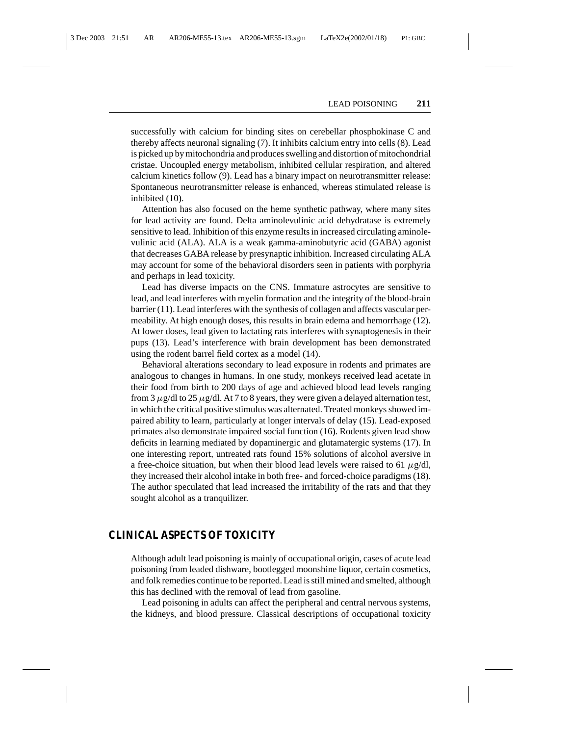successfully with calcium for binding sites on cerebellar phosphokinase C and thereby affects neuronal signaling (7). It inhibits calcium entry into cells (8). Lead is picked up by mitochondria and produces swelling and distortion of mitochondrial cristae. Uncoupled energy metabolism, inhibited cellular respiration, and altered calcium kinetics follow (9). Lead has a binary impact on neurotransmitter release: Spontaneous neurotransmitter release is enhanced, whereas stimulated release is inhibited (10).

Attention has also focused on the heme synthetic pathway, where many sites for lead activity are found. Delta aminolevulinic acid dehydratase is extremely sensitive to lead. Inhibition of this enzyme results in increased circulating aminolevulinic acid (ALA). ALA is a weak gamma-aminobutyric acid (GABA) agonist that decreases GABA release by presynaptic inhibition. Increased circulating ALA may account for some of the behavioral disorders seen in patients with porphyria and perhaps in lead toxicity.

Lead has diverse impacts on the CNS. Immature astrocytes are sensitive to lead, and lead interferes with myelin formation and the integrity of the blood-brain barrier (11). Lead interferes with the synthesis of collagen and affects vascular permeability. At high enough doses, this results in brain edema and hemorrhage (12). At lower doses, lead given to lactating rats interferes with synaptogenesis in their pups (13). Lead's interference with brain development has been demonstrated using the rodent barrel field cortex as a model (14).

Behavioral alterations secondary to lead exposure in rodents and primates are analogous to changes in humans. In one study, monkeys received lead acetate in their food from birth to 200 days of age and achieved blood lead levels ranging from 3  $\mu$ g/dl to 25  $\mu$ g/dl. At 7 to 8 years, they were given a delayed alternation test, in which the critical positive stimulus was alternated. Treated monkeys showed impaired ability to learn, particularly at longer intervals of delay (15). Lead-exposed primates also demonstrate impaired social function (16). Rodents given lead show deficits in learning mediated by dopaminergic and glutamatergic systems (17). In one interesting report, untreated rats found 15% solutions of alcohol aversive in a free-choice situation, but when their blood lead levels were raised to 61  $\mu$ g/dl, they increased their alcohol intake in both free- and forced-choice paradigms (18). The author speculated that lead increased the irritability of the rats and that they sought alcohol as a tranquilizer.

#### **CLINICAL ASPECTS OF TOXICITY**

Although adult lead poisoning is mainly of occupational origin, cases of acute lead poisoning from leaded dishware, bootlegged moonshine liquor, certain cosmetics, and folk remedies continue to be reported. Lead is still mined and smelted, although this has declined with the removal of lead from gasoline.

Lead poisoning in adults can affect the peripheral and central nervous systems, the kidneys, and blood pressure. Classical descriptions of occupational toxicity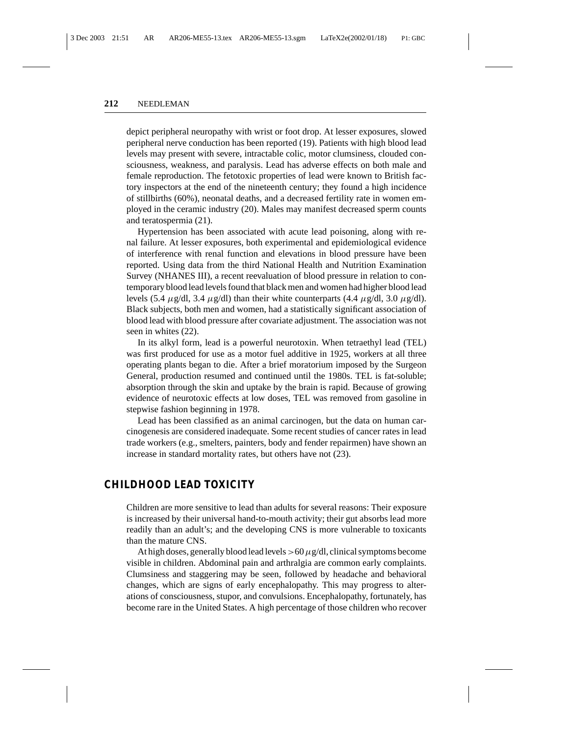depict peripheral neuropathy with wrist or foot drop. At lesser exposures, slowed peripheral nerve conduction has been reported (19). Patients with high blood lead levels may present with severe, intractable colic, motor clumsiness, clouded consciousness, weakness, and paralysis. Lead has adverse effects on both male and female reproduction. The fetotoxic properties of lead were known to British factory inspectors at the end of the nineteenth century; they found a high incidence of stillbirths (60%), neonatal deaths, and a decreased fertility rate in women employed in the ceramic industry (20). Males may manifest decreased sperm counts and teratospermia (21).

Hypertension has been associated with acute lead poisoning, along with renal failure. At lesser exposures, both experimental and epidemiological evidence of interference with renal function and elevations in blood pressure have been reported. Using data from the third National Health and Nutrition Examination Survey (NHANES III), a recent reevaluation of blood pressure in relation to contemporary blood lead levels found that black men and women had higher blood lead levels (5.4  $\mu$ g/dl, 3.4  $\mu$ g/dl) than their white counterparts (4.4  $\mu$ g/dl, 3.0  $\mu$ g/dl). Black subjects, both men and women, had a statistically significant association of blood lead with blood pressure after covariate adjustment. The association was not seen in whites (22).

In its alkyl form, lead is a powerful neurotoxin. When tetraethyl lead (TEL) was first produced for use as a motor fuel additive in 1925, workers at all three operating plants began to die. After a brief moratorium imposed by the Surgeon General, production resumed and continued until the 1980s. TEL is fat-soluble; absorption through the skin and uptake by the brain is rapid. Because of growing evidence of neurotoxic effects at low doses, TEL was removed from gasoline in stepwise fashion beginning in 1978.

Lead has been classified as an animal carcinogen, but the data on human carcinogenesis are considered inadequate. Some recent studies of cancer rates in lead trade workers (e.g., smelters, painters, body and fender repairmen) have shown an increase in standard mortality rates, but others have not (23).

### **CHILDHOOD LEAD TOXICITY**

Children are more sensitive to lead than adults for several reasons: Their exposure is increased by their universal hand-to-mouth activity; their gut absorbs lead more readily than an adult's; and the developing CNS is more vulnerable to toxicants than the mature CNS.

At high doses, generally blood lead levels  $>60 \mu$ g/dl, clinical symptoms become visible in children. Abdominal pain and arthralgia are common early complaints. Clumsiness and staggering may be seen, followed by headache and behavioral changes, which are signs of early encephalopathy. This may progress to alterations of consciousness, stupor, and convulsions. Encephalopathy, fortunately, has become rare in the United States. A high percentage of those children who recover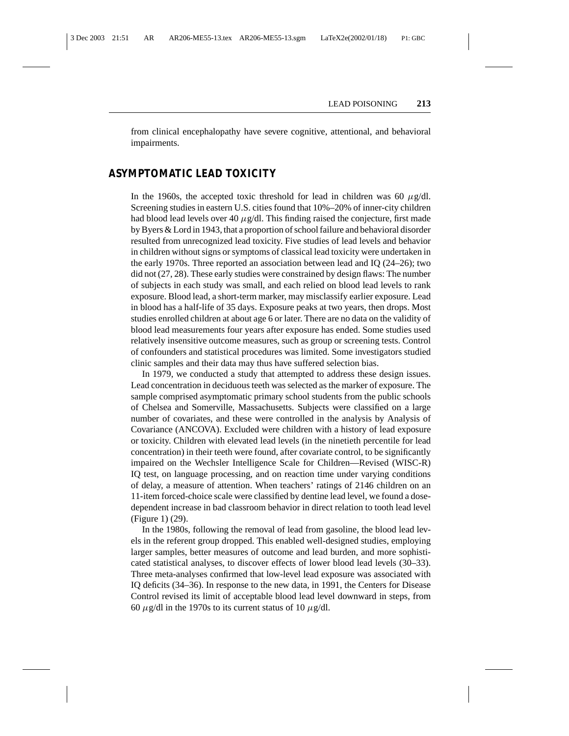from clinical encephalopathy have severe cognitive, attentional, and behavioral impairments.

#### **ASYMPTOMATIC LEAD TOXICITY**

In the 1960s, the accepted toxic threshold for lead in children was 60  $\mu$ g/dl. Screening studies in eastern U.S. cities found that 10%–20% of inner-city children had blood lead levels over 40  $\mu$ g/dl. This finding raised the conjecture, first made by Byers & Lord in 1943, that a proportion of school failure and behavioral disorder resulted from unrecognized lead toxicity. Five studies of lead levels and behavior in children without signs or symptoms of classical lead toxicity were undertaken in the early 1970s. Three reported an association between lead and IQ (24–26); two did not (27, 28). These early studies were constrained by design flaws: The number of subjects in each study was small, and each relied on blood lead levels to rank exposure. Blood lead, a short-term marker, may misclassify earlier exposure. Lead in blood has a half-life of 35 days. Exposure peaks at two years, then drops. Most studies enrolled children at about age 6 or later. There are no data on the validity of blood lead measurements four years after exposure has ended. Some studies used relatively insensitive outcome measures, such as group or screening tests. Control of confounders and statistical procedures was limited. Some investigators studied clinic samples and their data may thus have suffered selection bias.

In 1979, we conducted a study that attempted to address these design issues. Lead concentration in deciduous teeth was selected as the marker of exposure. The sample comprised asymptomatic primary school students from the public schools of Chelsea and Somerville, Massachusetts. Subjects were classified on a large number of covariates, and these were controlled in the analysis by Analysis of Covariance (ANCOVA). Excluded were children with a history of lead exposure or toxicity. Children with elevated lead levels (in the ninetieth percentile for lead concentration) in their teeth were found, after covariate control, to be significantly impaired on the Wechsler Intelligence Scale for Children—Revised (WISC-R) IQ test, on language processing, and on reaction time under varying conditions of delay, a measure of attention. When teachers' ratings of 2146 children on an 11-item forced-choice scale were classified by dentine lead level, we found a dosedependent increase in bad classroom behavior in direct relation to tooth lead level (Figure 1) (29).

In the 1980s, following the removal of lead from gasoline, the blood lead levels in the referent group dropped. This enabled well-designed studies, employing larger samples, better measures of outcome and lead burden, and more sophisticated statistical analyses, to discover effects of lower blood lead levels (30–33). Three meta-analyses confirmed that low-level lead exposure was associated with IQ deficits (34–36). In response to the new data, in 1991, the Centers for Disease Control revised its limit of acceptable blood lead level downward in steps, from 60  $\mu$ g/dl in the 1970s to its current status of 10  $\mu$ g/dl.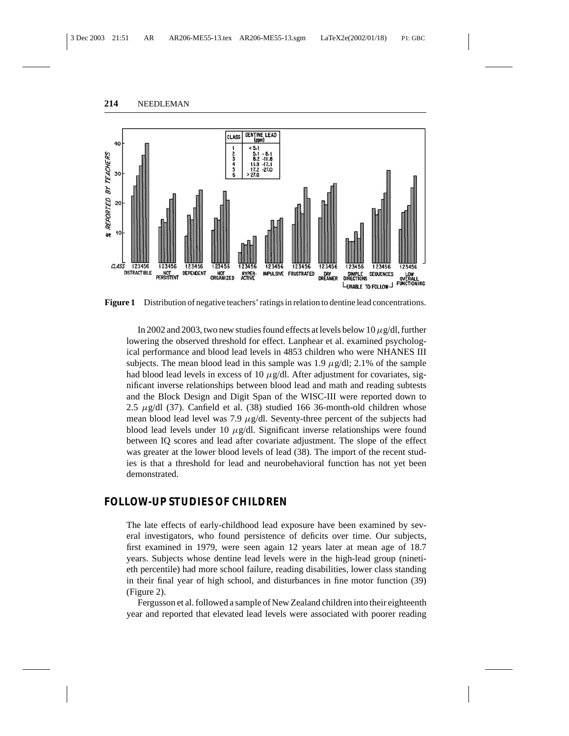

**Figure 1** Distribution of negative teachers' ratings in relation to dentine lead concentrations.

In 2002 and 2003, two new studies found effects at levels below 10  $\mu$ g/dl, further lowering the observed threshold for effect. Lanphear et al. examined psychological performance and blood lead levels in 4853 children who were NHANES III subjects. The mean blood lead in this sample was 1.9  $\mu$ g/dl; 2.1% of the sample had blood lead levels in excess of 10  $\mu$ g/dl. After adjustment for covariates, significant inverse relationships between blood lead and math and reading subtests and the Block Design and Digit Span of the WISC-III were reported down to 2.5  $\mu$ g/dl (37). Canfield et al. (38) studied 166 36-month-old children whose mean blood lead level was 7.9  $\mu$ g/dl. Seventy-three percent of the subjects had blood lead levels under 10  $\mu$ g/dl. Significant inverse relationships were found between IQ scores and lead after covariate adjustment. The slope of the effect was greater at the lower blood levels of lead (38). The import of the recent studies is that a threshold for lead and neurobehavioral function has not yet been demonstrated.

#### **FOLLOW-UP STUDIES OF CHILDREN**

The late effects of early-childhood lead exposure have been examined by several investigators, who found persistence of deficits over time. Our subjects, first examined in 1979, were seen again 12 years later at mean age of 18.7 years. Subjects whose dentine lead levels were in the high-lead group (ninetieth percentile) had more school failure, reading disabilities, lower class standing in their final year of high school, and disturbances in fine motor function (39) (Figure 2).

Fergusson et al. followed a sample of New Zealand children into their eighteenth year and reported that elevated lead levels were associated with poorer reading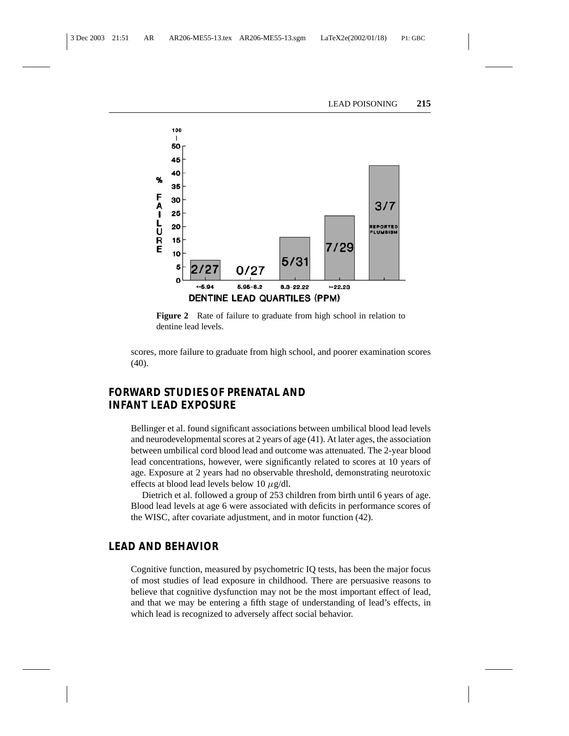

**Figure 2** Rate of failure to graduate from high school in relation to dentine lead levels.

scores, more failure to graduate from high school, and poorer examination scores (40).

## **FORWARD STUDIES OF PRENATAL AND INFANT LEAD EXPOSURE**

Bellinger et al. found significant associations between umbilical blood lead levels and neurodevelopmental scores at 2 years of age (41). At later ages, the association between umbilical cord blood lead and outcome was attenuated. The 2-year blood lead concentrations, however, were significantly related to scores at 10 years of age. Exposure at 2 years had no observable threshold, demonstrating neurotoxic effects at blood lead levels below 10  $\mu$ g/dl.

Dietrich et al. followed a group of 253 children from birth until 6 years of age. Blood lead levels at age 6 were associated with deficits in performance scores of the WISC, after covariate adjustment, and in motor function (42).

## **LEAD AND BEHAVIOR**

Cognitive function, measured by psychometric IQ tests, has been the major focus of most studies of lead exposure in childhood. There are persuasive reasons to believe that cognitive dysfunction may not be the most important effect of lead, and that we may be entering a fifth stage of understanding of lead's effects, in which lead is recognized to adversely affect social behavior.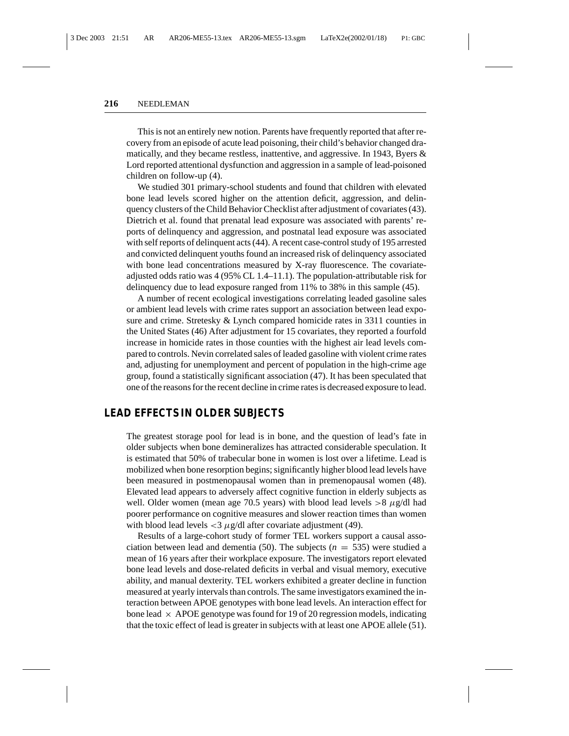This is not an entirely new notion. Parents have frequently reported that after recovery from an episode of acute lead poisoning, their child's behavior changed dramatically, and they became restless, inattentive, and aggressive. In 1943, Byers & Lord reported attentional dysfunction and aggression in a sample of lead-poisoned children on follow-up (4).

We studied 301 primary-school students and found that children with elevated bone lead levels scored higher on the attention deficit, aggression, and delinquency clusters of the Child Behavior Checklist after adjustment of covariates (43). Dietrich et al. found that prenatal lead exposure was associated with parents' reports of delinquency and aggression, and postnatal lead exposure was associated with self reports of delinquent acts (44). A recent case-control study of 195 arrested and convicted delinquent youths found an increased risk of delinquency associated with bone lead concentrations measured by X-ray fluorescence. The covariateadjusted odds ratio was 4 (95% CL 1.4–11.1). The population-attributable risk for delinquency due to lead exposure ranged from 11% to 38% in this sample (45).

A number of recent ecological investigations correlating leaded gasoline sales or ambient lead levels with crime rates support an association between lead exposure and crime. Stretesky & Lynch compared homicide rates in 3311 counties in the United States (46) After adjustment for 15 covariates, they reported a fourfold increase in homicide rates in those counties with the highest air lead levels compared to controls. Nevin correlated sales of leaded gasoline with violent crime rates and, adjusting for unemployment and percent of population in the high-crime age group, found a statistically significant association (47). It has been speculated that one of the reasons for the recent decline in crime rates is decreased exposure to lead.

## **LEAD EFFECTS IN OLDER SUBJECTS**

The greatest storage pool for lead is in bone, and the question of lead's fate in older subjects when bone demineralizes has attracted considerable speculation. It is estimated that 50% of trabecular bone in women is lost over a lifetime. Lead is mobilized when bone resorption begins; significantly higher blood lead levels have been measured in postmenopausal women than in premenopausal women (48). Elevated lead appears to adversely affect cognitive function in elderly subjects as well. Older women (mean age 70.5 years) with blood lead levels  $>8 \mu g/dl$  had poorer performance on cognitive measures and slower reaction times than women with blood lead levels  $\langle 3 \mu g/d$ l after covariate adjustment (49).

Results of a large-cohort study of former TEL workers support a causal association between lead and dementia (50). The subjects  $(n = 535)$  were studied a mean of 16 years after their workplace exposure. The investigators report elevated bone lead levels and dose-related deficits in verbal and visual memory, executive ability, and manual dexterity. TEL workers exhibited a greater decline in function measured at yearly intervals than controls. The same investigators examined the interaction between APOE genotypes with bone lead levels. An interaction effect for bone lead  $\times$  APOE genotype was found for 19 of 20 regression models, indicating that the toxic effect of lead is greater in subjects with at least one APOE allele (51).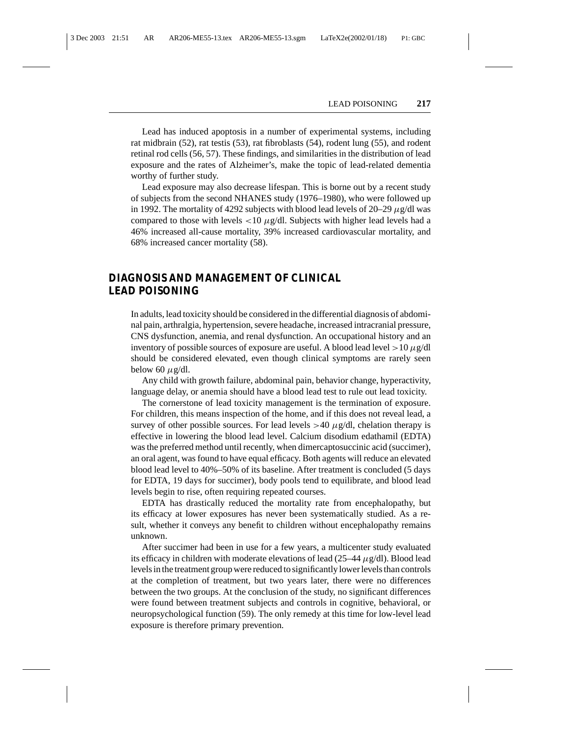Lead has induced apoptosis in a number of experimental systems, including rat midbrain (52), rat testis (53), rat fibroblasts (54), rodent lung (55), and rodent retinal rod cells (56, 57). These findings, and similarities in the distribution of lead exposure and the rates of Alzheimer's, make the topic of lead-related dementia worthy of further study.

Lead exposure may also decrease lifespan. This is borne out by a recent study of subjects from the second NHANES study (1976–1980), who were followed up in 1992. The mortality of 4292 subjects with blood lead levels of 20–29  $\mu$ g/dl was compared to those with levels  $\langle 10 \mu \text{g/d} \rangle$ . Subjects with higher lead levels had a 46% increased all-cause mortality, 39% increased cardiovascular mortality, and 68% increased cancer mortality (58).

## **DIAGNOSIS AND MANAGEMENT OF CLINICAL LEAD POISONING**

In adults, lead toxicity should be considered in the differential diagnosis of abdominal pain, arthralgia, hypertension, severe headache, increased intracranial pressure, CNS dysfunction, anemia, and renal dysfunction. An occupational history and an inventory of possible sources of exposure are useful. A blood lead level  $>10 \mu g/dl$ should be considered elevated, even though clinical symptoms are rarely seen below 60  $\mu$ g/dl.

Any child with growth failure, abdominal pain, behavior change, hyperactivity, language delay, or anemia should have a blood lead test to rule out lead toxicity.

The cornerstone of lead toxicity management is the termination of exposure. For children, this means inspection of the home, and if this does not reveal lead, a survey of other possible sources. For lead levels  $>40 \mu g/dl$ , chelation therapy is effective in lowering the blood lead level. Calcium disodium edathamil (EDTA) was the preferred method until recently, when dimercaptosuccinic acid (succimer), an oral agent, was found to have equal efficacy. Both agents will reduce an elevated blood lead level to 40%–50% of its baseline. After treatment is concluded (5 days for EDTA, 19 days for succimer), body pools tend to equilibrate, and blood lead levels begin to rise, often requiring repeated courses.

EDTA has drastically reduced the mortality rate from encephalopathy, but its efficacy at lower exposures has never been systematically studied. As a result, whether it conveys any benefit to children without encephalopathy remains unknown.

After succimer had been in use for a few years, a multicenter study evaluated its efficacy in children with moderate elevations of lead  $(25-44 \mu g/dl)$ . Blood lead levels in the treatment group were reduced to significantly lower levels than controls at the completion of treatment, but two years later, there were no differences between the two groups. At the conclusion of the study, no significant differences were found between treatment subjects and controls in cognitive, behavioral, or neuropsychological function (59). The only remedy at this time for low-level lead exposure is therefore primary prevention.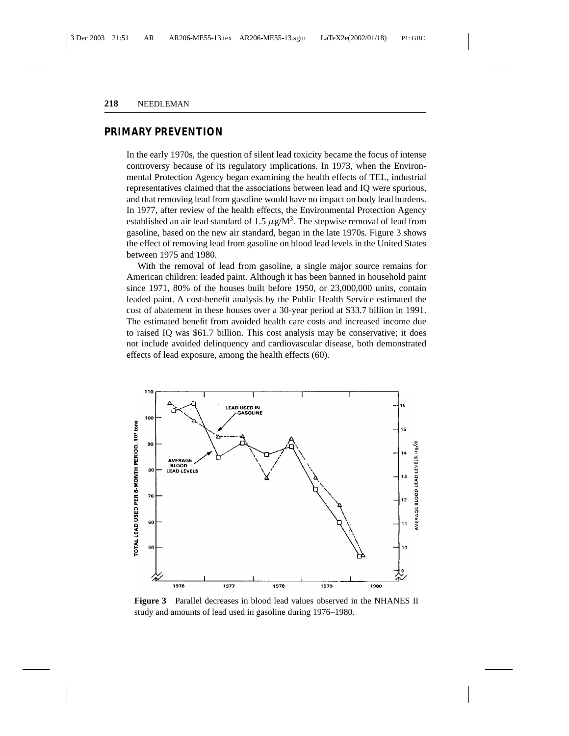#### **PRIMARY PREVENTION**

In the early 1970s, the question of silent lead toxicity became the focus of intense controversy because of its regulatory implications. In 1973, when the Environmental Protection Agency began examining the health effects of TEL, industrial representatives claimed that the associations between lead and IQ were spurious, and that removing lead from gasoline would have no impact on body lead burdens. In 1977, after review of the health effects, the Environmental Protection Agency established an air lead standard of 1.5  $\mu$ g/M<sup>3</sup>. The stepwise removal of lead from gasoline, based on the new air standard, began in the late 1970s. Figure 3 shows the effect of removing lead from gasoline on blood lead levels in the United States between 1975 and 1980.

With the removal of lead from gasoline, a single major source remains for American children: leaded paint. Although it has been banned in household paint since 1971, 80% of the houses built before 1950, or 23,000,000 units, contain leaded paint. A cost-benefit analysis by the Public Health Service estimated the cost of abatement in these houses over a 30-year period at \$33.7 billion in 1991. The estimated benefit from avoided health care costs and increased income due to raised IQ was \$61.7 billion. This cost analysis may be conservative; it does not include avoided delinquency and cardiovascular disease, both demonstrated effects of lead exposure, among the health effects (60).



**Figure 3** Parallel decreases in blood lead values observed in the NHANES II study and amounts of lead used in gasoline during 1976–1980.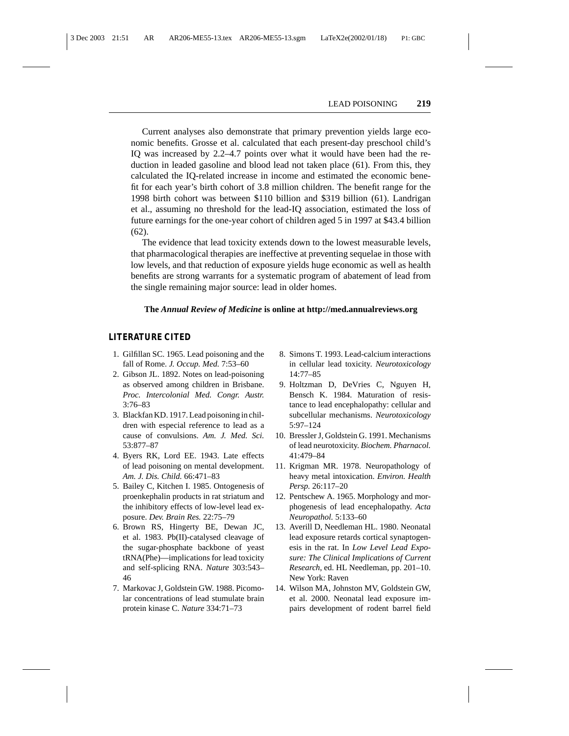Current analyses also demonstrate that primary prevention yields large economic benefits. Grosse et al. calculated that each present-day preschool child's IQ was increased by 2.2–4.7 points over what it would have been had the reduction in leaded gasoline and blood lead not taken place (61). From this, they calculated the IQ-related increase in income and estimated the economic benefit for each year's birth cohort of 3.8 million children. The benefit range for the 1998 birth cohort was between \$110 billion and \$319 billion (61). Landrigan et al., assuming no threshold for the lead-IQ association, estimated the loss of future earnings for the one-year cohort of children aged 5 in 1997 at \$43.4 billion (62).

The evidence that lead toxicity extends down to the lowest measurable levels, that pharmacological therapies are ineffective at preventing sequelae in those with low levels, and that reduction of exposure yields huge economic as well as health benefits are strong warrants for a systematic program of abatement of lead from the single remaining major source: lead in older homes.

#### **The** *Annual Review of Medicine* **is online at http://med.annualreviews.org**

#### **LITERATURE CITED**

- 1. Gilfillan SC. 1965. Lead poisoning and the fall of Rome. *J. Occup. Med.* 7:53–60
- 2. Gibson JL. 1892. Notes on lead-poisoning as observed among children in Brisbane. *Proc. Intercolonial Med. Congr. Austr.* 3:76–83
- 3. Blackfan KD. 1917. Lead poisoning in children with especial reference to lead as a cause of convulsions. *Am. J. Med. Sci.* 53:877–87
- 4. Byers RK, Lord EE. 1943. Late effects of lead poisoning on mental development. *Am. J. Dis. Child.* 66:471–83
- 5. Bailey C, Kitchen I. 1985. Ontogenesis of proenkephalin products in rat striatum and the inhibitory effects of low-level lead exposure. *Dev. Brain Res.* 22:75–79
- 6. Brown RS, Hingerty BE, Dewan JC, et al. 1983. Pb(II)-catalysed cleavage of the sugar-phosphate backbone of yeast tRNA(Phe)—implications for lead toxicity and self-splicing RNA. *Nature* 303:543– 46
- 7. Markovac J, Goldstein GW. 1988. Picomolar concentrations of lead stumulate brain protein kinase C. *Nature* 334:71–73
- 8. Simons T. 1993. Lead-calcium interactions in cellular lead toxicity. *Neurotoxicology* 14:77–85
- 9. Holtzman D, DeVries C, Nguyen H, Bensch K. 1984. Maturation of resistance to lead encephalopathy: cellular and subcellular mechanisms. *Neurotoxicology* 5:97–124
- 10. Bressler J, Goldstein G. 1991. Mechanisms of lead neurotoxicity. *Biochem. Pharnacol.* 41:479–84
- 11. Krigman MR. 1978. Neuropathology of heavy metal intoxication. *Environ. Health Persp.* 26:117–20
- 12. Pentschew A. 1965. Morphology and morphogenesis of lead encephalopathy. *Acta Neuropathol.* 5:133–60
- 13. Averill D, Needleman HL. 1980. Neonatal lead exposure retards cortical synaptogenesis in the rat. In *Low Level Lead Exposure: The Clinical Implications of Current Research*, ed. HL Needleman, pp. 201–10. New York: Raven
- 14. Wilson MA, Johnston MV, Goldstein GW, et al. 2000. Neonatal lead exposure impairs development of rodent barrel field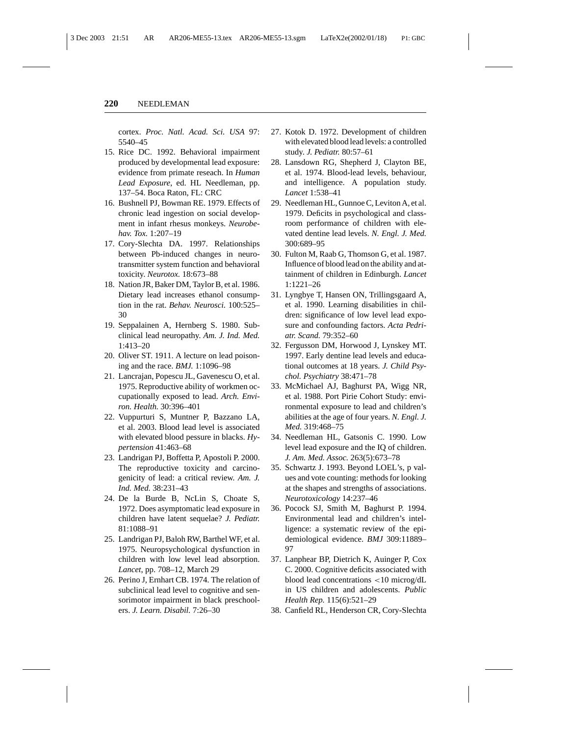cortex. *Proc. Natl. Acad. Sci. USA* 97: 5540–45

- 15. Rice DC. 1992. Behavioral impairment produced by developmental lead exposure: evidence from primate reseach. In *Human Lead Exposure*, ed. HL Needleman, pp. 137–54. Boca Raton, FL: CRC
- 16. Bushnell PJ, Bowman RE. 1979. Effects of chronic lead ingestion on social development in infant rhesus monkeys. *Neurobehav. Tox.* 1:207–19
- 17. Cory-Slechta DA. 1997. Relationships between Pb-induced changes in neurotransmitter system function and behavioral toxicity. *Neurotox.* 18:673–88
- 18. Nation JR, Baker DM, Taylor B, et al. 1986. Dietary lead increases ethanol consumption in the rat. *Behav. Neurosci.* 100:525– 30
- 19. Seppalainen A, Hernberg S. 1980. Subclinical lead neuropathy. *Am. J. Ind. Med.* 1:413–20
- 20. Oliver ST. 1911. A lecture on lead poisoning and the race. *BMJ.* 1:1096–98
- 21. Lancrajan, Popescu JL, Gavenescu O, et al. 1975. Reproductive ability of workmen occupationally exposed to lead. *Arch. Environ. Health.* 30:396–401
- 22. Vuppurturi S, Muntner P, Bazzano LA, et al. 2003. Blood lead level is associated with elevated blood pessure in blacks. *Hypertension* 41:463–68
- 23. Landrigan PJ, Boffetta P, Apostoli P. 2000. The reproductive toxicity and carcinogenicity of lead: a critical review. *Am. J. Ind. Med.* 38:231–43
- 24. De la Burde B, NcLin S, Choate S, 1972. Does asymptomatic lead exposure in children have latent sequelae? *J. Pediatr.* 81:1088–91
- 25. Landrigan PJ, Baloh RW, Barthel WF, et al. 1975. Neuropsychological dysfunction in children with low level lead absorption. *Lancet*, pp. 708–12, March 29
- 26. Perino J, Ernhart CB. 1974. The relation of subclinical lead level to cognitive and sensorimotor impairment in black preschoolers. *J. Learn. Disabil.* 7:26–30
- 27. Kotok D. 1972. Development of children with elevated blood lead levels: a controlled study. *J. Pediatr.* 80:57–61
- 28. Lansdown RG, Shepherd J, Clayton BE, et al. 1974. Blood-lead levels, behaviour, and intelligence. A population study. *Lancet* 1:538–41
- 29. Needleman HL, Gunnoe C, Leviton A, et al. 1979. Deficits in psychological and classroom performance of children with elevated dentine lead levels. *N. Engl. J. Med.* 300:689–95
- 30. Fulton M, Raab G, Thomson G, et al. 1987. Influence of blood lead on the ability and attainment of children in Edinburgh. *Lancet* 1:1221–26
- 31. Lyngbye T, Hansen ON, Trillingsgaard A, et al. 1990. Learning disabilities in children: significance of low level lead exposure and confounding factors. *Acta Pedriatr. Scand.* 79:352–60
- 32. Fergusson DM, Horwood J, Lynskey MT. 1997. Early dentine lead levels and educational outcomes at 18 years. *J. Child Psychol. Psychiatry* 38:471–78
- 33. McMichael AJ, Baghurst PA, Wigg NR, et al. 1988. Port Pirie Cohort Study: environmental exposure to lead and children's abilities at the age of four years. *N. Engl. J. Med.* 319:468–75
- 34. Needleman HL, Gatsonis C. 1990. Low level lead exposure and the IQ of children. *J. Am. Med. Assoc.* 263(5):673–78
- 35. Schwartz J. 1993. Beyond LOEL's, p values and vote counting: methods for looking at the shapes and strengths of associations. *Neurotoxicology* 14:237–46
- 36. Pocock SJ, Smith M, Baghurst P. 1994. Environmental lead and children's intelligence: a systematic review of the epidemiological evidence. *BMJ* 309:11889– 97
- 37. Lanphear BP, Dietrich K, Auinger P, Cox C. 2000. Cognitive deficits associated with blood lead concentrations <10 microg/dL in US children and adolescents. *Public Health Rep.* 115(6):521–29
- 38. Canfield RL, Henderson CR, Cory-Slechta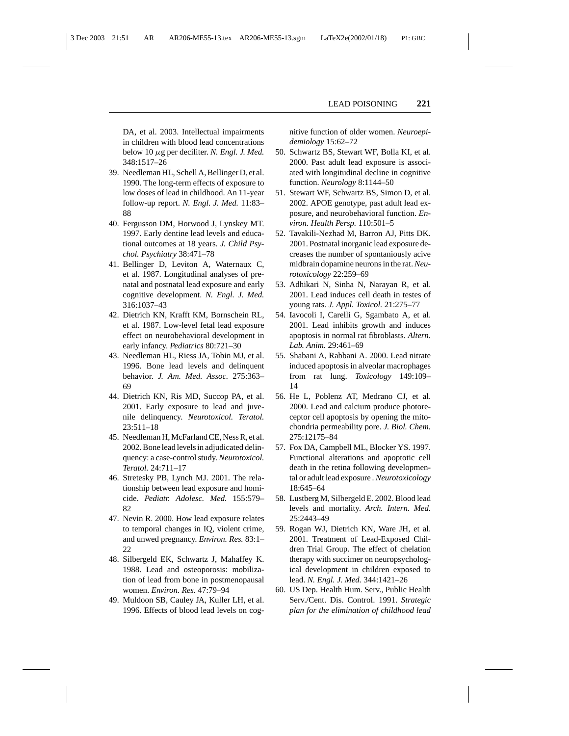DA, et al. 2003. Intellectual impairments in children with blood lead concentrations below 10 µg per deciliter. *N. Engl. J. Med.* 348:1517–26

- 39. Needleman HL, Schell A, Bellinger D, et al. 1990. The long-term effects of exposure to low doses of lead in childhood. An 11-year follow-up report. *N. Engl. J. Med.* 11:83– 88
- 40. Fergusson DM, Horwood J, Lynskey MT. 1997. Early dentine lead levels and educational outcomes at 18 years. *J. Child Psychol. Psychiatry* 38:471–78
- 41. Bellinger D, Leviton A, Waternaux C, et al. 1987. Longitudinal analyses of prenatal and postnatal lead exposure and early cognitive development. *N. Engl. J. Med.* 316:1037–43
- 42. Dietrich KN, Krafft KM, Bornschein RL, et al. 1987. Low-level fetal lead exposure effect on neurobehavioral development in early infancy. *Pediatrics* 80:721–30
- 43. Needleman HL, Riess JA, Tobin MJ, et al. 1996. Bone lead levels and delinquent behavior. *J. Am. Med. Assoc.* 275:363– 69
- 44. Dietrich KN, Ris MD, Succop PA, et al. 2001. Early exposure to lead and juvenile delinquency. *Neurotoxicol. Teratol.* 23:511–18
- 45. Needleman H, McFarland CE, Ness R, et al. 2002. Bone lead levels in adjudicated delinquency: a case-control study. *Neurotoxicol. Teratol.* 24:711–17
- 46. Stretesky PB, Lynch MJ. 2001. The relationship between lead exposure and homicide. *Pediatr. Adolesc. Med.* 155:579– 82
- 47. Nevin R. 2000. How lead exposure relates to temporal changes in IQ, violent crime, and unwed pregnancy. *Environ. Res.* 83:1– 22
- 48. Silbergeld EK, Schwartz J, Mahaffey K. 1988. Lead and osteoporosis: mobilization of lead from bone in postmenopausal women. *Environ. Res.* 47:79–94
- 49. Muldoon SB, Cauley JA, Kuller LH, et al. 1996. Effects of blood lead levels on cog-

nitive function of older women. *Neuroepidemiology* 15:62–72

- 50. Schwartz BS, Stewart WF, Bolla KI, et al. 2000. Past adult lead exposure is associated with longitudinal decline in cognitive function. *Neurology* 8:1144–50
- 51. Stewart WF, Schwartz BS, Simon D, et al. 2002. APOE genotype, past adult lead exposure, and neurobehavioral function. *Environ. Health Persp.* 110:501–5
- 52. Tavakili-Nezhad M, Barron AJ, Pitts DK. 2001. Postnatal inorganic lead exposure decreases the number of spontaniously acive midbrain dopamine neurons in the rat. *Neurotoxicology* 22:259–69
- 53. Adhikari N, Sinha N, Narayan R, et al. 2001. Lead induces cell death in testes of young rats. *J. Appl. Toxicol.* 21:275–77
- 54. Iavocoli I, Carelli G, Sgambato A, et al. 2001. Lead inhibits growth and induces apoptosis in normal rat fibroblasts. *Altern. Lab. Anim.* 29:461–69
- 55. Shabani A, Rabbani A. 2000. Lead nitrate induced apoptosis in alveolar macrophages from rat lung. *Toxicology* 149:109– 14
- 56. He L, Poblenz AT, Medrano CJ, et al. 2000. Lead and calcium produce photoreceptor cell apoptosis by opening the mitochondria permeability pore. *J. Biol. Chem.* 275:12175–84
- 57. Fox DA, Campbell ML, Blocker YS. 1997. Functional alterations and apoptotic cell death in the retina following developmental or adult lead exposure *. Neurotoxicology* 18:645–64
- 58. Lustberg M, Silbergeld E. 2002. Blood lead levels and mortality. *Arch. Intern. Med.* 25:2443–49
- 59. Rogan WJ, Dietrich KN, Ware JH, et al. 2001. Treatment of Lead-Exposed Children Trial Group. The effect of chelation therapy with succimer on neuropsychological development in children exposed to lead. *N. Engl. J. Med.* 344:1421–26
- 60. US Dep. Health Hum. Serv., Public Health Serv./Cent. Dis. Control. 1991. *Strategic plan for the elimination of childhood lead*